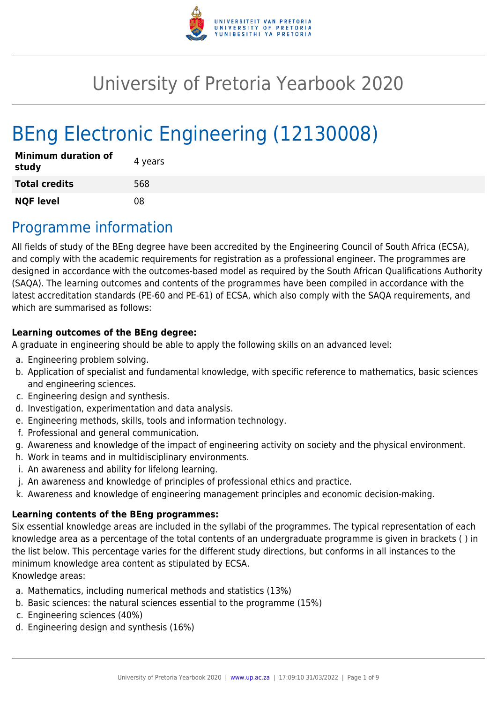

# University of Pretoria Yearbook 2020

# BEng Electronic Engineering (12130008)

| <b>Minimum duration of</b><br>study | 4 years |
|-------------------------------------|---------|
| <b>Total credits</b>                | 568     |
| <b>NQF level</b>                    | 08      |

# Programme information

All fields of study of the BEng degree have been accredited by the Engineering Council of South Africa (ECSA), and comply with the academic requirements for registration as a professional engineer. The programmes are designed in accordance with the outcomes-based model as required by the South African Qualifications Authority (SAQA). The learning outcomes and contents of the programmes have been compiled in accordance with the latest accreditation standards (PE-60 and PE-61) of ECSA, which also comply with the SAQA requirements, and which are summarised as follows:

### **Learning outcomes of the BEng degree:**

A graduate in engineering should be able to apply the following skills on an advanced level:

- a. Engineering problem solving.
- b. Application of specialist and fundamental knowledge, with specific reference to mathematics, basic sciences and engineering sciences.
- c. Engineering design and synthesis.
- d. Investigation, experimentation and data analysis.
- e. Engineering methods, skills, tools and information technology.
- f. Professional and general communication.
- g. Awareness and knowledge of the impact of engineering activity on society and the physical environment.
- h. Work in teams and in multidisciplinary environments.
- i. An awareness and ability for lifelong learning.
- j. An awareness and knowledge of principles of professional ethics and practice.
- k. Awareness and knowledge of engineering management principles and economic decision-making.

### **Learning contents of the BEng programmes:**

Six essential knowledge areas are included in the syllabi of the programmes. The typical representation of each knowledge area as a percentage of the total contents of an undergraduate programme is given in brackets ( ) in the list below. This percentage varies for the different study directions, but conforms in all instances to the minimum knowledge area content as stipulated by ECSA.

Knowledge areas:

- a. Mathematics, including numerical methods and statistics (13%)
- b. Basic sciences: the natural sciences essential to the programme (15%)
- c. Engineering sciences (40%)
- d. Engineering design and synthesis (16%)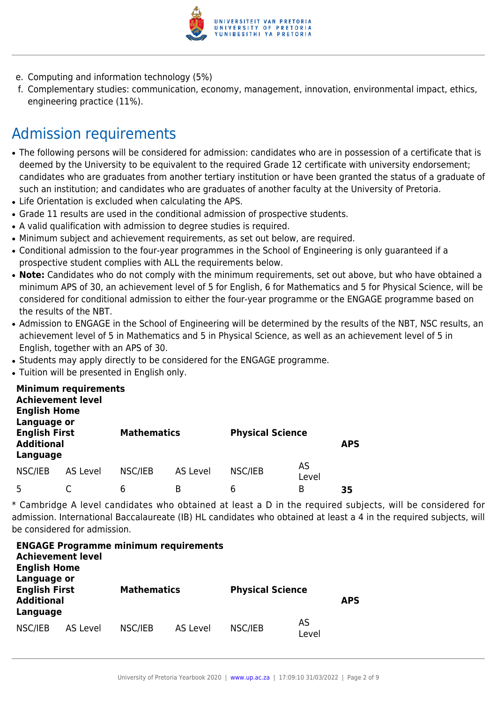

- e. Computing and information technology (5%)
- f. Complementary studies: communication, economy, management, innovation, environmental impact, ethics, engineering practice (11%).

# Admission requirements

- The following persons will be considered for admission: candidates who are in possession of a certificate that is deemed by the University to be equivalent to the required Grade 12 certificate with university endorsement; candidates who are graduates from another tertiary institution or have been granted the status of a graduate of such an institution; and candidates who are graduates of another faculty at the University of Pretoria.
- Life Orientation is excluded when calculating the APS.
- Grade 11 results are used in the conditional admission of prospective students.
- A valid qualification with admission to degree studies is required.
- Minimum subject and achievement requirements, as set out below, are required.
- Conditional admission to the four-year programmes in the School of Engineering is only guaranteed if a prospective student complies with ALL the requirements below.
- Note: Candidates who do not comply with the minimum requirements, set out above, but who have obtained a minimum APS of 30, an achievement level of 5 for English, 6 for Mathematics and 5 for Physical Science, will be considered for conditional admission to either the four-year programme or the ENGAGE programme based on the results of the NBT.
- Admission to ENGAGE in the School of Engineering will be determined by the results of the NBT, NSC results, an achievement level of 5 in Mathematics and 5 in Physical Science, as well as an achievement level of 5 in English, together with an APS of 30.
- Students may apply directly to be considered for the ENGAGE programme.
- Tuition will be presented in English only.

| <b>Achievement level</b><br><b>English Home</b><br>Language or | <b>Minimum requirements</b> |         |                    |         |                         |    |
|----------------------------------------------------------------|-----------------------------|---------|--------------------|---------|-------------------------|----|
| <b>English First</b><br><b>Additional</b><br>Language          |                             |         | <b>Mathematics</b> |         | <b>Physical Science</b> |    |
| NSC/IEB                                                        | AS Level                    | NSC/IEB | AS Level           | NSC/IEB | AS<br>Level             |    |
| 5                                                              |                             | 6       | B                  | 6       | В                       | 35 |

\* Cambridge A level candidates who obtained at least a D in the required subjects, will be considered for admission. International Baccalaureate (IB) HL candidates who obtained at least a 4 in the required subjects, will be considered for admission.

| <b>Achievement level</b><br><b>English Home</b>                      |          | <b>ENGAGE Programme minimum requirements</b> |          |                         |             |            |
|----------------------------------------------------------------------|----------|----------------------------------------------|----------|-------------------------|-------------|------------|
| Language or<br><b>English First</b><br><b>Additional</b><br>Language |          | <b>Mathematics</b>                           |          | <b>Physical Science</b> |             | <b>APS</b> |
| NSC/IEB                                                              | AS Level | NSC/IEB                                      | AS Level | NSC/IEB                 | AS<br>Level |            |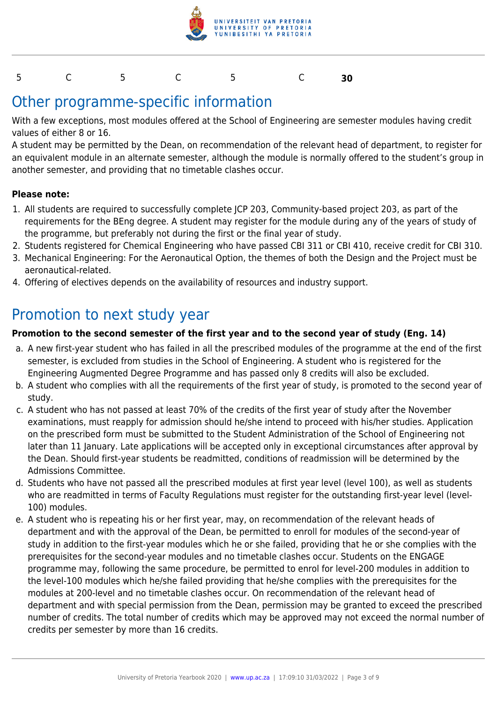

#### 5 C 5 C 5 C **30**

## Other programme-specific information

With a few exceptions, most modules offered at the School of Engineering are semester modules having credit values of either 8 or 16.

A student may be permitted by the Dean, on recommendation of the relevant head of department, to register for an equivalent module in an alternate semester, although the module is normally offered to the student's group in another semester, and providing that no timetable clashes occur.

#### **Please note:**

- 1. All students are required to successfully complete JCP 203, Community-based project 203, as part of the requirements for the BEng degree. A student may register for the module during any of the years of study of the programme, but preferably not during the first or the final year of study.
- 2. Students registered for Chemical Engineering who have passed CBI 311 or CBI 410, receive credit for CBI 310.
- 3. Mechanical Engineering: For the Aeronautical Option, the themes of both the Design and the Project must be aeronautical-related.
- 4. Offering of electives depends on the availability of resources and industry support.

### Promotion to next study year

#### **Promotion to the second semester of the first year and to the second year of study (Eng. 14)**

- a. A new first-year student who has failed in all the prescribed modules of the programme at the end of the first semester, is excluded from studies in the School of Engineering. A student who is registered for the Engineering Augmented Degree Programme and has passed only 8 credits will also be excluded.
- b. A student who complies with all the requirements of the first year of study, is promoted to the second year of study.
- c. A student who has not passed at least 70% of the credits of the first year of study after the November examinations, must reapply for admission should he/she intend to proceed with his/her studies. Application on the prescribed form must be submitted to the Student Administration of the School of Engineering not later than 11 January. Late applications will be accepted only in exceptional circumstances after approval by the Dean. Should first-year students be readmitted, conditions of readmission will be determined by the Admissions Committee.
- d. Students who have not passed all the prescribed modules at first year level (level 100), as well as students who are readmitted in terms of Faculty Regulations must register for the outstanding first-year level (level-100) modules.
- e. A student who is repeating his or her first year, may, on recommendation of the relevant heads of department and with the approval of the Dean, be permitted to enroll for modules of the second-year of study in addition to the first-year modules which he or she failed, providing that he or she complies with the prerequisites for the second-year modules and no timetable clashes occur. Students on the ENGAGE programme may, following the same procedure, be permitted to enrol for level-200 modules in addition to the level-100 modules which he/she failed providing that he/she complies with the prerequisites for the modules at 200-level and no timetable clashes occur. On recommendation of the relevant head of department and with special permission from the Dean, permission may be granted to exceed the prescribed number of credits. The total number of credits which may be approved may not exceed the normal number of credits per semester by more than 16 credits.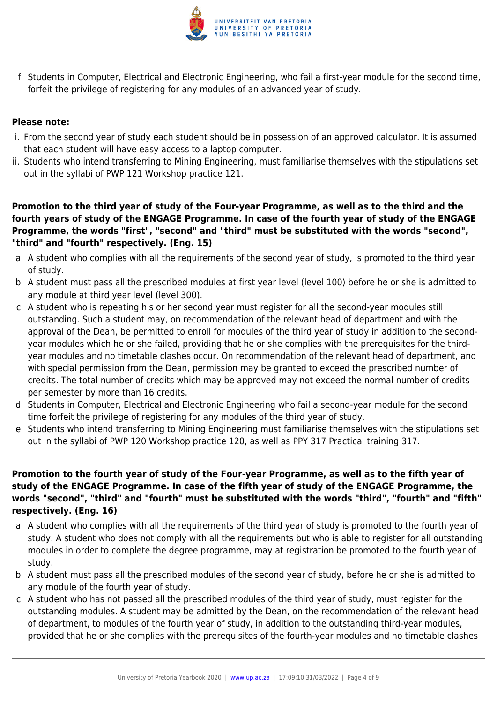

f. Students in Computer, Electrical and Electronic Engineering, who fail a first-year module for the second time, forfeit the privilege of registering for any modules of an advanced year of study.

#### **Please note:**

- i. From the second year of study each student should be in possession of an approved calculator. It is assumed that each student will have easy access to a laptop computer.
- ii. Students who intend transferring to Mining Engineering, must familiarise themselves with the stipulations set out in the syllabi of PWP 121 Workshop practice 121.

**Promotion to the third year of study of the Four-year Programme, as well as to the third and the fourth years of study of the ENGAGE Programme. In case of the fourth year of study of the ENGAGE Programme, the words "first", "second" and "third" must be substituted with the words "second", "third" and "fourth" respectively. (Eng. 15)**

- a. A student who complies with all the requirements of the second year of study, is promoted to the third year of study.
- b. A student must pass all the prescribed modules at first year level (level 100) before he or she is admitted to any module at third year level (level 300).
- c. A student who is repeating his or her second year must register for all the second-year modules still outstanding. Such a student may, on recommendation of the relevant head of department and with the approval of the Dean, be permitted to enroll for modules of the third year of study in addition to the secondyear modules which he or she failed, providing that he or she complies with the prerequisites for the thirdyear modules and no timetable clashes occur. On recommendation of the relevant head of department, and with special permission from the Dean, permission may be granted to exceed the prescribed number of credits. The total number of credits which may be approved may not exceed the normal number of credits per semester by more than 16 credits.
- d. Students in Computer, Electrical and Electronic Engineering who fail a second-year module for the second time forfeit the privilege of registering for any modules of the third year of study.
- e. Students who intend transferring to Mining Engineering must familiarise themselves with the stipulations set out in the syllabi of PWP 120 Workshop practice 120, as well as PPY 317 Practical training 317.

#### **Promotion to the fourth year of study of the Four-year Programme, as well as to the fifth year of study of the ENGAGE Programme. In case of the fifth year of study of the ENGAGE Programme, the words "second", "third" and "fourth" must be substituted with the words "third", "fourth" and "fifth" respectively. (Eng. 16)**

- a. A student who complies with all the requirements of the third year of study is promoted to the fourth year of study. A student who does not comply with all the requirements but who is able to register for all outstanding modules in order to complete the degree programme, may at registration be promoted to the fourth year of study.
- b. A student must pass all the prescribed modules of the second year of study, before he or she is admitted to any module of the fourth year of study.
- c. A student who has not passed all the prescribed modules of the third year of study, must register for the outstanding modules. A student may be admitted by the Dean, on the recommendation of the relevant head of department, to modules of the fourth year of study, in addition to the outstanding third-year modules, provided that he or she complies with the prerequisites of the fourth-year modules and no timetable clashes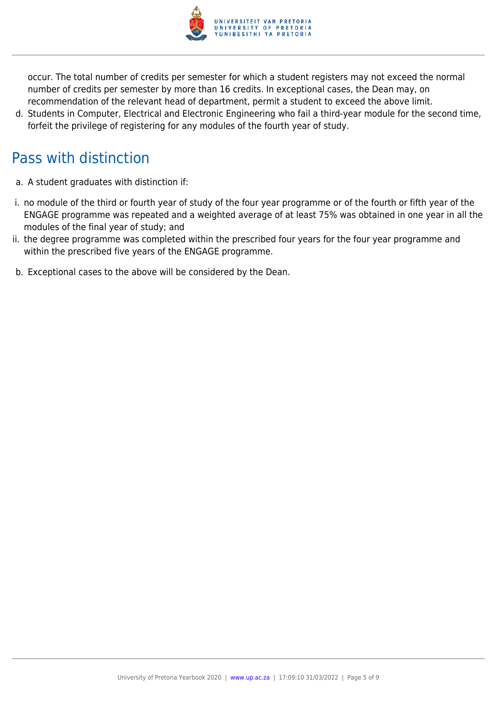

occur. The total number of credits per semester for which a student registers may not exceed the normal number of credits per semester by more than 16 credits. In exceptional cases, the Dean may, on recommendation of the relevant head of department, permit a student to exceed the above limit.

d. Students in Computer, Electrical and Electronic Engineering who fail a third-year module for the second time, forfeit the privilege of registering for any modules of the fourth year of study.

# Pass with distinction

- a. A student graduates with distinction if:
- i. no module of the third or fourth year of study of the four year programme or of the fourth or fifth year of the ENGAGE programme was repeated and a weighted average of at least 75% was obtained in one year in all the modules of the final year of study; and
- ii. the degree programme was completed within the prescribed four years for the four year programme and within the prescribed five years of the ENGAGE programme.
- b. Exceptional cases to the above will be considered by the Dean.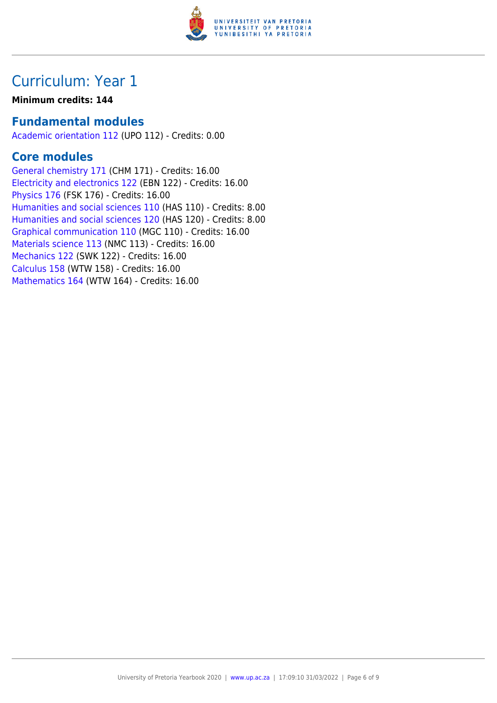

## Curriculum: Year 1

#### **Minimum credits: 144**

### **Fundamental modules**

[Academic orientation 112](https://www.up.ac.za/yearbooks/2020/modules/view/UPO 112) (UPO 112) - Credits: 0.00

### **Core modules**

[General chemistry 171](https://www.up.ac.za/yearbooks/2020/modules/view/CHM 171) (CHM 171) - Credits: 16.00 [Electricity and electronics 122](https://www.up.ac.za/yearbooks/2020/modules/view/EBN 122) (EBN 122) - Credits: 16.00 [Physics 176](https://www.up.ac.za/yearbooks/2020/modules/view/FSK 176) (FSK 176) - Credits: 16.00 [Humanities and social sciences 110](https://www.up.ac.za/yearbooks/2020/modules/view/HAS 110) (HAS 110) - Credits: 8.00 [Humanities and social sciences 120](https://www.up.ac.za/yearbooks/2020/modules/view/HAS 120) (HAS 120) - Credits: 8.00 [Graphical communication 110](https://www.up.ac.za/yearbooks/2020/modules/view/MGC 110) (MGC 110) - Credits: 16.00 [Materials science 113](https://www.up.ac.za/yearbooks/2020/modules/view/NMC 113) (NMC 113) - Credits: 16.00 [Mechanics 122](https://www.up.ac.za/yearbooks/2020/modules/view/SWK 122) (SWK 122) - Credits: 16.00 [Calculus 158](https://www.up.ac.za/yearbooks/2020/modules/view/WTW 158) (WTW 158) - Credits: 16.00 [Mathematics 164](https://www.up.ac.za/yearbooks/2020/modules/view/WTW 164) (WTW 164) - Credits: 16.00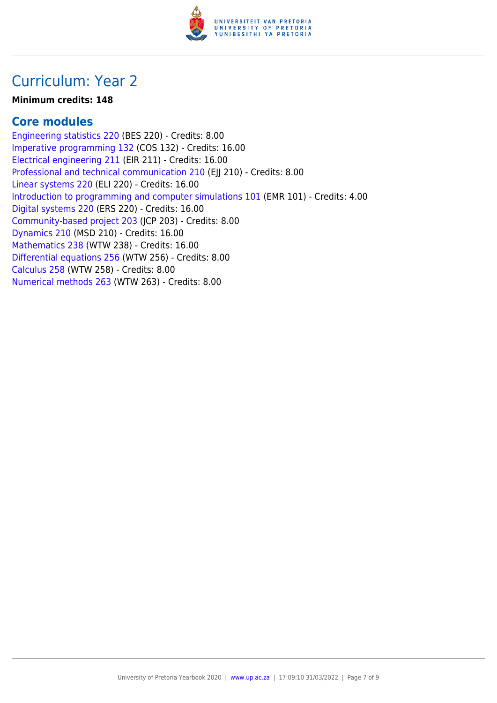

## Curriculum: Year 2

#### **Minimum credits: 148**

### **Core modules**

[Engineering statistics 220](https://www.up.ac.za/yearbooks/2020/modules/view/BES 220) (BES 220) - Credits: 8.00 [Imperative programming 132](https://www.up.ac.za/yearbooks/2020/modules/view/COS 132) (COS 132) - Credits: 16.00 [Electrical engineering 211](https://www.up.ac.za/yearbooks/2020/modules/view/EIR 211) (EIR 211) - Credits: 16.00 [Professional and technical communication 210](https://www.up.ac.za/yearbooks/2020/modules/view/EJJ 210) (EJJ 210) - Credits: 8.00 [Linear systems 220](https://www.up.ac.za/yearbooks/2020/modules/view/ELI 220) (ELI 220) - Credits: 16.00 [Introduction to programming and computer simulations 101](https://www.up.ac.za/yearbooks/2020/modules/view/EMR 101) (EMR 101) - Credits: 4.00 [Digital systems 220](https://www.up.ac.za/yearbooks/2020/modules/view/ERS 220) (ERS 220) - Credits: 16.00 [Community-based project 203](https://www.up.ac.za/yearbooks/2020/modules/view/JCP 203) (JCP 203) - Credits: 8.00 [Dynamics 210](https://www.up.ac.za/yearbooks/2020/modules/view/MSD 210) (MSD 210) - Credits: 16.00 [Mathematics 238](https://www.up.ac.za/yearbooks/2020/modules/view/WTW 238) (WTW 238) - Credits: 16.00 [Differential equations 256](https://www.up.ac.za/yearbooks/2020/modules/view/WTW 256) (WTW 256) - Credits: 8.00 [Calculus 258](https://www.up.ac.za/yearbooks/2020/modules/view/WTW 258) (WTW 258) - Credits: 8.00 [Numerical methods 263](https://www.up.ac.za/yearbooks/2020/modules/view/WTW 263) (WTW 263) - Credits: 8.00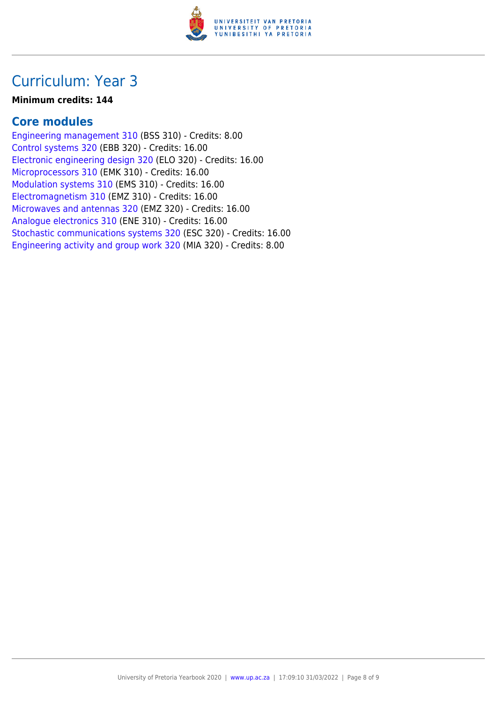

## Curriculum: Year 3

#### **Minimum credits: 144**

### **Core modules**

[Engineering management 310](https://www.up.ac.za/yearbooks/2020/modules/view/BSS 310) (BSS 310) - Credits: 8.00 [Control systems 320](https://www.up.ac.za/yearbooks/2020/modules/view/EBB 320) (EBB 320) - Credits: 16.00 [Electronic engineering design 320](https://www.up.ac.za/yearbooks/2020/modules/view/ELO 320) (ELO 320) - Credits: 16.00 [Microprocessors 310](https://www.up.ac.za/yearbooks/2020/modules/view/EMK 310) (EMK 310) - Credits: 16.00 [Modulation systems 310](https://www.up.ac.za/yearbooks/2020/modules/view/EMS 310) (EMS 310) - Credits: 16.00 [Electromagnetism 310](https://www.up.ac.za/yearbooks/2020/modules/view/EMZ 310) (EMZ 310) - Credits: 16.00 [Microwaves and antennas 320](https://www.up.ac.za/yearbooks/2020/modules/view/EMZ 320) (EMZ 320) - Credits: 16.00 [Analogue electronics 310](https://www.up.ac.za/yearbooks/2020/modules/view/ENE 310) (ENE 310) - Credits: 16.00 [Stochastic communications systems 320](https://www.up.ac.za/yearbooks/2020/modules/view/ESC 320) (ESC 320) - Credits: 16.00 [Engineering activity and group work 320](https://www.up.ac.za/yearbooks/2020/modules/view/MIA 320) (MIA 320) - Credits: 8.00